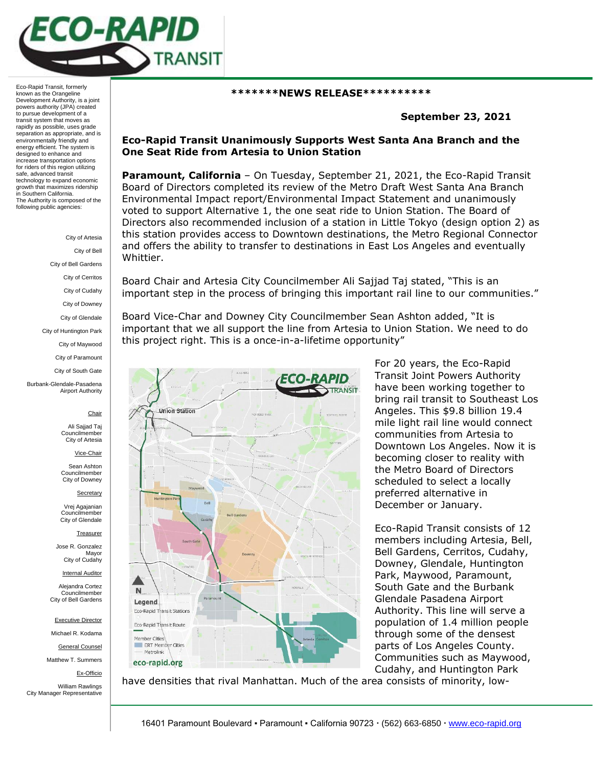

Eco-Rapid Transit, formerly known as the Orangeline Development Authority, is a joint powers authority (JPA) created to pursue development of a transit system that moves as rapidly as possible, uses grade separation as appropriate, and is environmentally friendly and energy efficient. The system is designed to enhance and increase transportation options for riders of this region utilizing safe, advanced transit technology to expand economic growth that maximizes ridership in Southern California. The Authority is composed of the following public agencies:

> City of Artesia City of Bell City of Bell Gardens City of Cerritos City of Cudahy

> > City of Downey

City of Glendale

City of Huntington Park

City of Maywood

City of Paramount

City of South Gate

Burbank-Glendale-Pasadena Airport Authority

Chair

Ali Sajjad Taj Councilmembe City of Artesia

Vice-Chair

Sean Ashton Councilmember City of Downey

**Secretary** 

Vrej Agajanian Councilmember City of Glendale

**Treasurer** 

Jose R. Gonzalez Mayor City of Cudahy

Internal Auditor

Alejandra Cortez Councilmember City of Bell Gardens

Executive Director

Michael R. Kodama

General Counsel

Matthew T. Summers

Ex-Officio

William Rawlings City Manager Representative

## **\*\*\*\*\*\*\*NEWS RELEASE\*\*\*\*\*\*\*\*\*\***

## **September 23, 2021**

## **Eco-Rapid Transit Unanimously Supports West Santa Ana Branch and the One Seat Ride from Artesia to Union Station**

**Paramount, California** – On Tuesday, September 21, 2021, the Eco-Rapid Transit Board of Directors completed its review of the Metro Draft West Santa Ana Branch Environmental Impact report/Environmental Impact Statement and unanimously voted to support Alternative 1, the one seat ride to Union Station. The Board of Directors also recommended inclusion of a station in Little Tokyo (design option 2) as this station provides access to Downtown destinations, the Metro Regional Connector and offers the ability to transfer to destinations in East Los Angeles and eventually Whittier.

Board Chair and Artesia City Councilmember Ali Sajjad Taj stated, "This is an important step in the process of bringing this important rail line to our communities."

Board Vice-Char and Downey City Councilmember Sean Ashton added, "It is important that we all support the line from Artesia to Union Station. We need to do this project right. This is a once-in-a-lifetime opportunity"



For 20 years, the Eco-Rapid Transit Joint Powers Authority have been working together to bring rail transit to Southeast Los Angeles. This \$9.8 billion 19.4 mile light rail line would connect communities from Artesia to Downtown Los Angeles. Now it is becoming closer to reality with the Metro Board of Directors scheduled to select a locally preferred alternative in December or January.

Eco-Rapid Transit consists of 12 members including Artesia, Bell, Bell Gardens, Cerritos, Cudahy, Downey, Glendale, Huntington Park, Maywood, Paramount, South Gate and the Burbank Glendale Pasadena Airport Authority. This line will serve a population of 1.4 million people through some of the densest parts of Los Angeles County. Communities such as Maywood, Cudahy, and Huntington Park

have densities that rival Manhattan. Much of the area consists of minority, low-